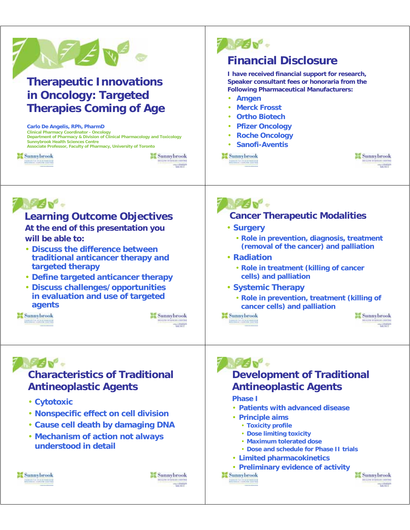| <b>Therapeutic Innovations</b><br>in Oncology: Targeted<br><b>Therapies Coming of Age</b><br>Carlo De Angelis, RPh, PharmD<br><b>Clinical Pharmacy Coordinator - Oncology</b><br>Department of Pharmacy & Division of Clinical Pharmacology and Toxicology<br><b>Sunnybrook Health Sciences Centre</b><br>Associate Professor, Faculty of Pharmacy, University of Toronto<br><b>Sunnybrook</b><br><b>Sunnybrook</b><br><b>IN LETH SCULPHORN CROCINA</b><br><b>CONTRACTO DE CARBONADO</b><br>MONT | <b>Financial Disclosure</b><br>I have received financial support for research,<br>Speaker consultant fees or honoraria from the<br><b>Following Pharmaceutical Manufacturers:</b><br>Amgen<br>$\bullet$<br><b>Merck Frosst</b><br><b>Ortho Biotech</b><br><b>Pfizer Oncology</b><br><b>Roche Oncology</b><br><b>Sanofi-Aventis</b><br><b>Sunnybrook</b><br><b>Sunnybrook</b><br><b>Intaking sculptures existing</b><br><b>CONTRACTOR</b><br>MOVIT            |
|--------------------------------------------------------------------------------------------------------------------------------------------------------------------------------------------------------------------------------------------------------------------------------------------------------------------------------------------------------------------------------------------------------------------------------------------------------------------------------------------------|--------------------------------------------------------------------------------------------------------------------------------------------------------------------------------------------------------------------------------------------------------------------------------------------------------------------------------------------------------------------------------------------------------------------------------------------------------------|
| <b>Learning Outcome Objectives</b><br>At the end of this presentation you<br>will be able to:<br>• Discuss the difference between<br>traditional anticancer therapy and<br>targeted therapy<br>• Define targeted anticancer therapy<br>· Discuss challenges/opportunities<br>in evaluation and use of targeted<br>agents<br><b>Sunnybrook</b><br>Sunnybrook<br>Intailine scussicas exortas<br><b>CONTRACTO CONSTRUCTO</b><br>sing in Family 17                                                   | <b>Cancer Therapeutic Modalities</b><br>• Surgery<br>· Role in prevention, diagnosis, treatment<br>(removal of the cancer) and palliation<br>• Radiation<br>. Role in treatment (killing of cancer<br>cells) and palliation<br>· Systemic Therapy<br>. Role in prevention, treatment (killing of<br>cancer cells) and palliation<br>sa Sunnybrook<br><b>Sunnybrook</b><br><b>INFALITA INTERNEZIA CROCERA</b><br><b>CONTRACTO GENERALISM</b>                  |
| <b>Characteristics of Traditional</b><br><b>Antineoplastic Agents</b><br>• Cytotoxic<br>. Nonspecific effect on cell division<br>. Cause cell death by damaging DNA<br>. Mechanism of action not always<br>understood in detail<br><b>Sunnybrook</b><br><b>Sunnybrook</b><br>intaizes scussicas canctas<br><b>Alexandra de Campanhos</b><br>MOVE                                                                                                                                                 | <b>Development of Traditional</b><br><b>Antineoplastic Agents</b><br><b>Phase I</b><br>• Patients with advanced disease<br>• Principle aims<br>• Toxicity profile<br>• Dose limiting toxicity<br>• Maximum tolerated dose<br>• Dose and schedule for Phase II trials<br>· Limited pharmacokinetics<br>• Preliminary evidence of activity<br><b>Sunnybrook</b><br><b>Sunnybrook</b><br>Intakine sculpticals capcinal<br><b>DESTINATION CONTRACTOR</b><br>MOVI |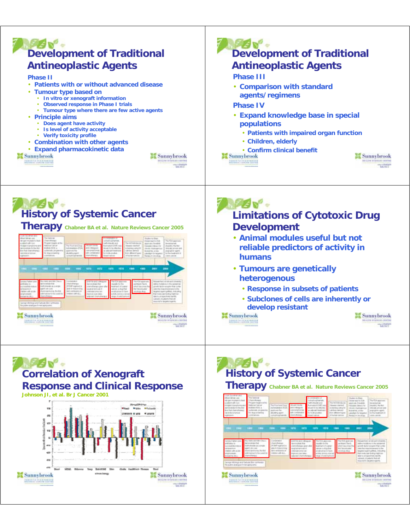

# **History of Systemic Cancer**

**Therapy Chabner BA et al. Nature Reviews Cancer 2005**



#### **ALEM-Limitations of Cytotoxic Drug Development**

- **Animal modules useful but not reliable predictors of activity in humans**
- **Tumours are genetically heterogenous**
	- **Response in subsets of patients**
	- **Subclones of cells are inherently or develop resistant**

**Sunnybrook DESTACACIÓN** 





#### **NEW RO History of Systemic Cancer**

#### **Therapy Chabner BA et al. Nature Reviews Cancer 2005**

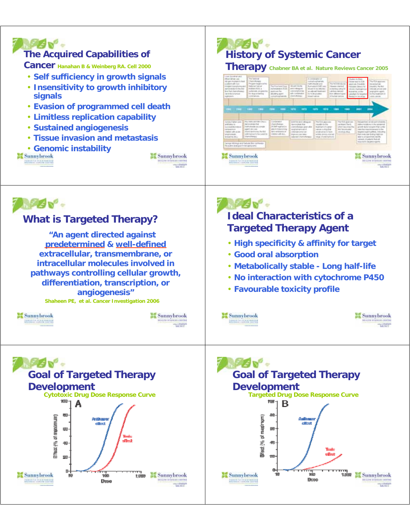



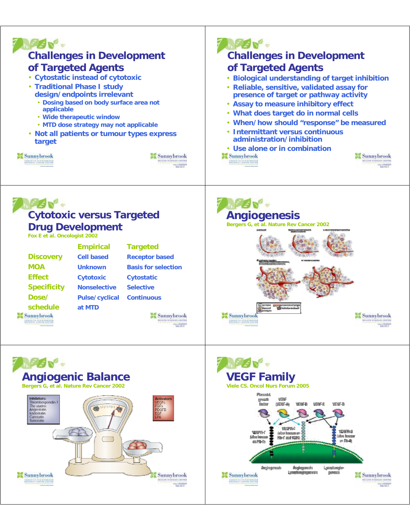

**Drug Development**

**Fox E et al. Oncologist 2002**

|                    | <b>Empirical</b>      | <b>Targeted</b>            |
|--------------------|-----------------------|----------------------------|
| <b>Discovery</b>   | <b>Cell based</b>     | <b>Receptor based</b>      |
| <b>MOA</b>         | <b>Unknown</b>        | <b>Basis for selection</b> |
| <b>Effect</b>      | <b>Cytotoxic</b>      | <b>Cytostatic</b>          |
| <b>Specificity</b> | <b>Nonselective</b>   | <b>Selective</b>           |
| Dose/              | <b>Pulse/cyclical</b> | <b>Continuous</b>          |
| schedule           | at MTD                |                            |
|                    |                       |                            |





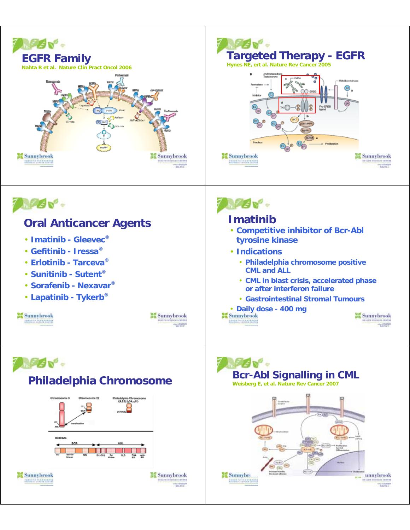

**Sunnybrook** 

WWT



**Sunnybrook** 

**COMPANY RESERVED** 

**Sunnybre** unnybrook <u> mare inscripti</u>

**Little**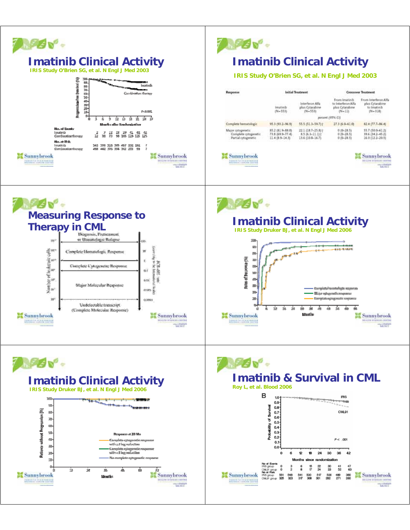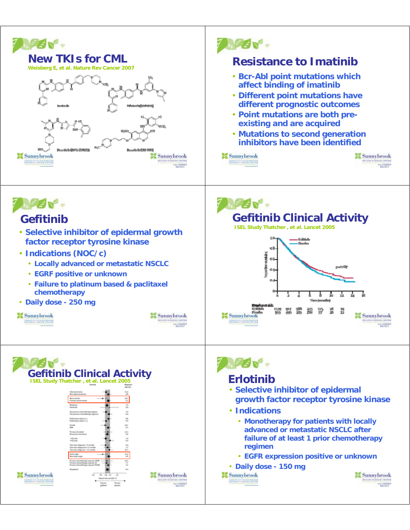



### **Gefitinib**

- **Selective inhibitor of epidermal growth factor receptor tyrosine kinase**
- **Indications (NOC/c)**
	- **Locally advanced or metastatic NSCLC**
	- **EGRF positive or unknown**
	- **Failure to platinum based & paclitaxel chemotherapy**
- **Daily dose 250 mg**







**AGO. Gefitinib Clinical Activity ISEL Study Thatcher , et al. Lancet 2005**





- **Selective inhibitor of epidermal growth factor receptor tyrosine kinase**
- **Indications**
	- **Monotherapy for patients with locally advanced or metastatic NSCLC after failure of at least 1 prior chemotherapy regimen**
	- **EGFR expression positive or unknown**
- **Daily dose 150 mg**

**Sunnybrook CORPORATION CONTRACTOR** 

**Sunnybrook THE WAY**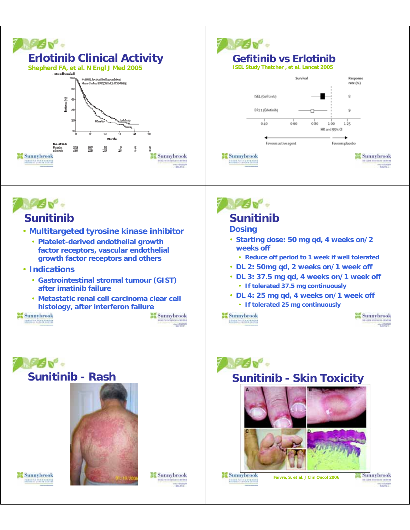





#### **Sunitinib**

- **Multitargeted tyrosine kinase inhibitor**
	- **Platelet-derived endothelial growth factor receptors, vascular endothelial growth factor receptors and others**
- **Indications**
	- **Gastrointestinal stromal tumour (GIST) after imatinib failure**
	- **Metastatic renal cell carcinoma clear cell histology, after interferon failure**

**Sunnybrook BERG GENERALISM** 



WWT



### **Sunitinib**

#### **Dosing**

- **Starting dose: 50 mg qd, 4 weeks on/2 weeks off**
	- **Reduce off period to 1 week if well tolerated**
- **DL 2: 50mg qd, 2 weeks on/1 week off**
- **DL 3: 37.5 mg qd, 4 weeks on/1 week off** • **If tolerated 37.5 mg continuously**
- **DL 4: 25 mg qd, 4 weeks on/1 week off** • **If tolerated 25 mg continuously**

**Sunnybrook Abbrevia de Cabador** 







*SEER PRESIDE* 

sa Sunnybrook **Little**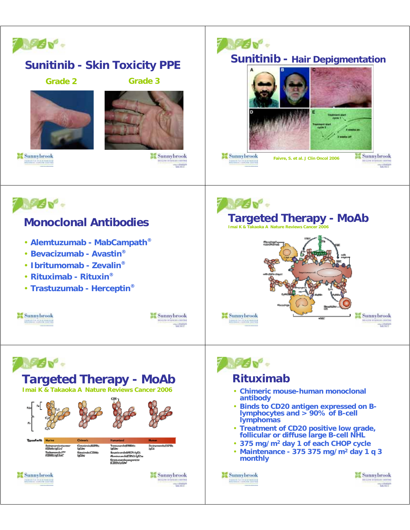

# **PAN Sunitinib - Hair Depigmentation Sunnybrook Sunnybrook Faivre, S. et al. J Clin Oncol 2006 PERSONAL**



**WWT** 

**Targeted Therapy - MoAb Sannybrook MONT** 

- **Chimeric mouse-human monoclonal**
- **Binds to CD20 antigen expressed on Blymphocytes and > 90% of B-cell**
- **Treatment of CD20 positive low grade, follicular or diffuse large B-cell NHL**
- **375 mg/m2 day 1 of each CHOP cycle**
- **Maintenance 375 375 mg/m2 day 1 q 3**

**Sunnybrook** WWT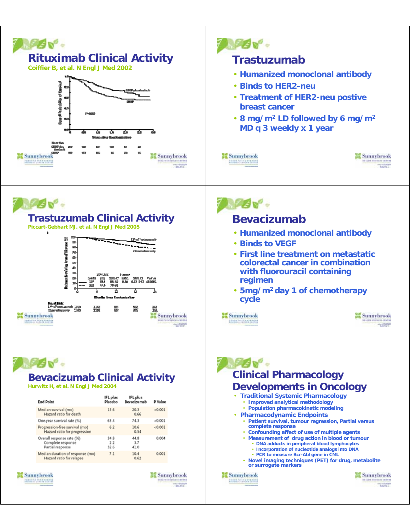



## **Trastuzumab Clinical Activity**

**Piccart-Gebhart MJ, et al. N Engl J Med 2005**





#### **Bevacizumab**

- **Humanized monoclonal antibody**
- **Binds to VEGF**
- **First line treatment on metastatic colorectal cancer in combination with fluorouracil containing regimen**
- **5mg/m2 day 1 of chemotherapy cycle**



Sunnybrook **MONT** 

## **MAGU"**

#### **Bevacizumab Clinical Activity**

**Hurwitz H, et al. N Engl J Med 2004**

| <b>End Point</b>                                                   | <b>IFL</b> plus<br>Placebo | IFL plus<br>Bevacizumab | P Value  |
|--------------------------------------------------------------------|----------------------------|-------------------------|----------|
| Median survival (mo)<br>Hazard ratio for death                     | 15.6                       | 20.3<br>0.66            | $-0.001$ |
| One-year survival rate (%)                                         | 63.4                       | 74.3                    | < 0.001  |
| Progression-free survival (mo)<br>Hazard ratio for progression     | 6.2                        | 10.6<br>0.54            | < 0.001  |
| Overall response rate (%)<br>Complete response<br>Partial response | 34.8<br>2.2<br>32.6        | 44.8<br>3.7<br>41.0     | 0.004    |
| Median duration of response (mo)<br>Hazard ratio for relapse       | 7.1                        | 10.4<br>0.62            | 0.001    |

**Sunnybrook COMPANY RESERVED** 

**Sunnybrook THE WAY**